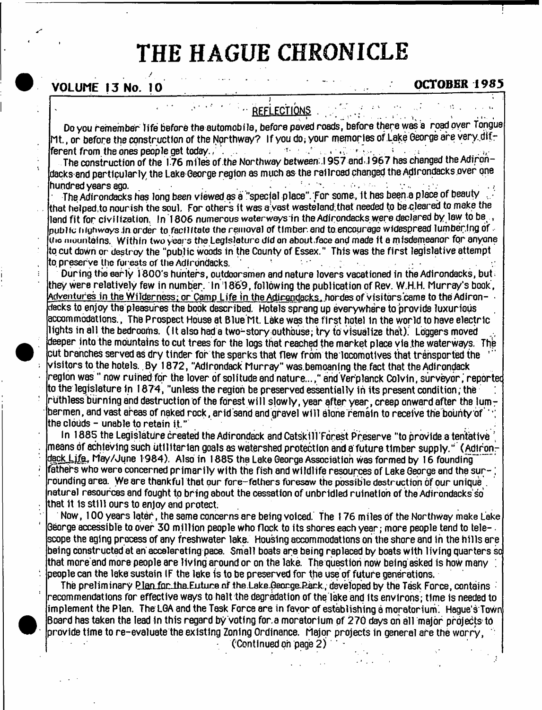# THE HAGUE CHRONICLE

# **VOLUME 13 No. 10 COLUME 13 No. 10**

*/*

**REFLECTIONS** 

Do you remember life before the automobile, before paved roads, before there was a road over Tongue Mt., or before the construction of the Northway? If you do, your memories of Lake George are very different from the ones people get today. ,  $\ldots$  ,  $\ldots$  ,  $\ldots$  ,  $\cdots$  ,  $\ldots$  ,  $\ldots$  ,  $\ldots$  ,  $\ldots$  ;  $\ldots$  ;  $\ldots$  ;  $\ldots$  ;

The construction of the 176 miles of the Northway between;.! 9 5 7 and.,19 6 7 has changed the Adirondacks and particularly the Lake George region as much as the railroad changed the Adirondacks over one<br>hundred vears ann hundred years ago. . . ■ ■.

The Adirondacks has long been viewed as a ''special place". For some, It has been a place of beauty , that helped.to nourish the soul. For others It was a vast wasteland;that needed to be cleared to make the land fit for civilization. In 1806 numerous waterways in the Adirondacks were declared by law to be public highwoys in order to facilitate the removal of timber and to encourage widespread lumbering of  $\cdot$ iho mountains. Within two years the Legislature did on about .face and made it a misdemeanor for anyone to cut down or destroy the "public woods in the County of Essex." This was the first legislative attempt to preserve the forests of the Adirondacks.

During the early 1800's hunters, outdoorsmen and nature lovers vacationed in the Adirondacks, but; they were relatively few in number. In 1869, following the publication of Rev. W.H.H. Murray's book , Adventures in the Wilderness; or Camp Life in the Adirondacks, hordes of visitors came to the Adiron- • decks to enjoy the pleasures the book described. Hotels sprang up everyw here to provide luxurious accommodations., The Prospect House at Blue Mt. Lake was the firs t hotel in the world to have electric lights in all the bedrooms. (It also had a two-story outhouse; try to visualize that). Loggers moved deeper into the mountains to cut trees for the logs that reached the market place via the waterways. The cut branches served as dry tinder for the sparks that flew from the locomotives that transported the visitors to the hotels. By 1872, ''Adirondack M urray" was.bemoaning the.fact that the Adirondack  $\bf$ region was " now ruihed for the lover of solitude and nature...," and Verplanck Colvin, surveyor, reported to the legislature in 1874, "unless the region be preserved essentially in its present condition; the ruthless burning and destruction of the forest will slowly, year after year, creep onward after the lumbermen, and vast areas of naked rock, arid sand and gravel will alone remain to receive the bounty of  $\cdot$ the clouds - unable to retain it."

In 1885 the Legislature created the Adirondack and Catskill Forest Preserve "to provide a tentative  $\,$  means of achieving such utilitarian goals as watershed protection and a future timber supply." <code>(Adiron-</code> deck Life, May/June 1984). Also in 1885 the Lake George Association was formed by 16 founding fathers who were concerned primarily with the fish and wildlife resources of Lake George and the sur- ; rounding area. We are thankful that our fore-fathers foresaw the possible destruction of our unique . natural resources and fought to bring about the cessation of unbridled ruination of the Adirondacks so that 1t Is still ours to enjoy and protect.

Now, 100 years later, the same concerns are being voiced. The 176 miles of the Northway make Lake George accessible to over 30 million people who flock to its shores each year ; more people tend to tele- . scope the aging process of any freshwater lake. Housing accommodations on the shore and in the hills are being constructed at an accelerating pace. Small boats are being replaced by boats with living quarters so that more and more people are living around or on the lake. The question now being asked is how many ; people can the lake sustain IF the lake is to be preserved for the use of future generations.

The preliminary Plan for the Euture of the Lake George-Park, developed by the Task Force, contains recommendations for effective ways to halt the degradation of the lake and Its environs; time is needed to implement the Plan. The LGA and the Task Force are in favor of establishing a moratorium. Hague's Town Board has taken the lead in this regard by voting for a moratorium of 270 days on all major projects to provide time to re-evaluate the existing Zoning Ordinance. Major projects in general are the worry,

('Continued on page 2)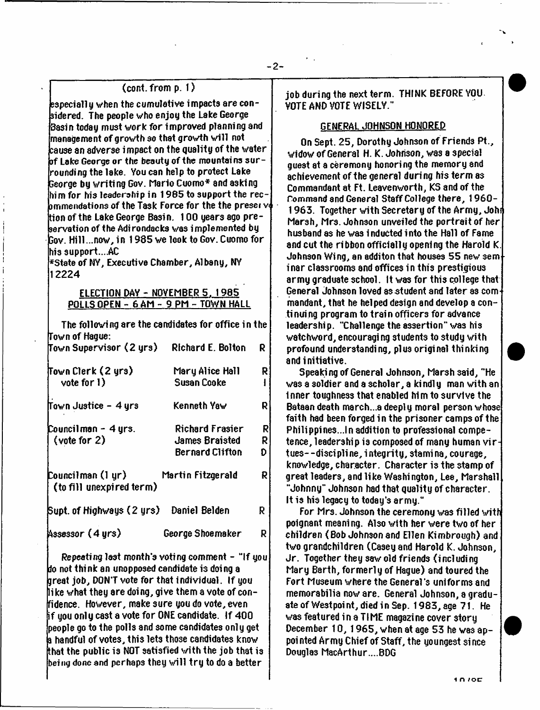# $(cont. from p. 1)$

especially when the cumulative impacts are considered. The people who enjoy the Lake George Basin today must work for improved planning and management of growth so that growth will not  $\bf{k}$ ause an adverse impact on the quality of the water of Lake George or the beauty of the mountains  $\mathop{\mathsf{sur}}\nolimits$  rounding the lake. You can help to protect Lake George by w riting Gov. Mario Cuomo\* and asking him for his leadership in 1965 to support the rec- $\bm{b}$ mmendations of the Task Force for the the presei v $\bm{\phi}$ tion of the Lake George Basin. 100 years ago pre- $\,$ servation of the Adirondacks was implemented by Gov. Hill...now, in 1985 we look to Gov. Cuomo for his support....AC

\*State of NY, Executive Chamber, Albany, NY 12224

# ELECTION DAY - NOVEMBER 5, 1985 POLLS OPEN - 6 AM - 9 PM - TOWN HALL

The following are the candidates for office in the Town of Hague: Town Supervisor <2 y rs) Richard E. Bolton R

| Town Clerk (2 yrs)<br>vote for 1)                 | Mary Alice Hall<br><b>Susan Cooke</b> | R<br>Ł |
|---------------------------------------------------|---------------------------------------|--------|
| Town Justice - 4 yrs                              | Kenneth Yaw                           | R      |
| Councilman - 4 yrs.                               | Richard Frasier                       | R      |
| (vote for 2)                                      | <b>James Braisted</b>                 | R      |
|                                                   | <b>Bernard Clifton</b>                | D.     |
| Councilman (1 yr) —<br>[ (to fill unexpired term) | Martin Fitzgerald                     | R.     |
| Supt. of Highways (2 yrs) Daniel Belden           |                                       | R      |
| Assessor (4 yrs)                                  | George Shoemaker                      | R.     |

Repeating last month's voting comment - "If you do not think an unopposed candidate is doing a great job, DON'T vote for that individual. If you like v/hat they are doing, give them a vote of confidence. However, make sure you do vote, even  $\mathop{\sf if}$  you only cast a vote for ONE candidate. If  $400$ people go to the polls and some candidates only get a handful of votes, this lets those candidates know that the public is NOT satisfied with the job that is  $\,$  being done and perhaps they will try to do a better  $\,$ 

job during the next term . THINK BEFORE YOU VOTE AND VOTE WISELY."

- 2-

# GENERAL JOHNSON HONORED

On Sept. 25, Dorothy Johnson of Friends Pt., widow of General H. K. Johnson, was a special guest at a ceremony honoring the memory and achievement of the general during his term as Commandant at Ft. Leavenworth, KS and of the Command and General Staff College there, 1960-1963. Together with Secretary of the Army, Johi Marsh, Mrs. Johnson unveiled the portrait of her husband as he was i nducted into the Hall of Fame and cut the ribbon officially opening the Harold K. Johnson Wing, an additon that houses 55 new sem inar classrooms and offices in this prestigious armu graduate school. It was for this college that General Johnson loved as student and later as commandant, that he helped design and develop a continuing program to train officers for advance leadership. "Challenge the assertion" was his watchword, encouragi ng students to study with profound understanding, plus original thinking and initiative.

Speaking of General Johnson, Marsh 3aid, "He was a soldier and a scholar, a kindly man with an Inner toughness that enabled him to survive the Bataan death march...a deeply moral person whose faith had been forged in the prisoner camps of the Philippines...In addition to professional competence, leadership is composed of many human virtues--discipline, integrity, stamina, courage, knowledge, character. Character is the stamp of great leaders, and like Washington, Lee, Marshall "Johnny" Johnson had that quality of character. It is his legacy to today's army."

For Mrs. Johnson the ceremony was filled with poignant meaning. Also with her were two of her children ( Bob Johnson and Ellen Kimbrough) and two grandchildren (Casey and Harold K. Johnson, Jr. Together they saw old friends (including Mary Barth, formerly of Hague) and toured the Fort Museum where the General's uniforms and memorabilia now are. General Johnson, a graduate of Westpoint, died in Sep. 1983, age 71. He was featured in a TIME magazine cover story December 10, 1965, when at age 53 he was appoi nted Army Chief of Staff, the youngest si nee Douglas MacArthur....BDG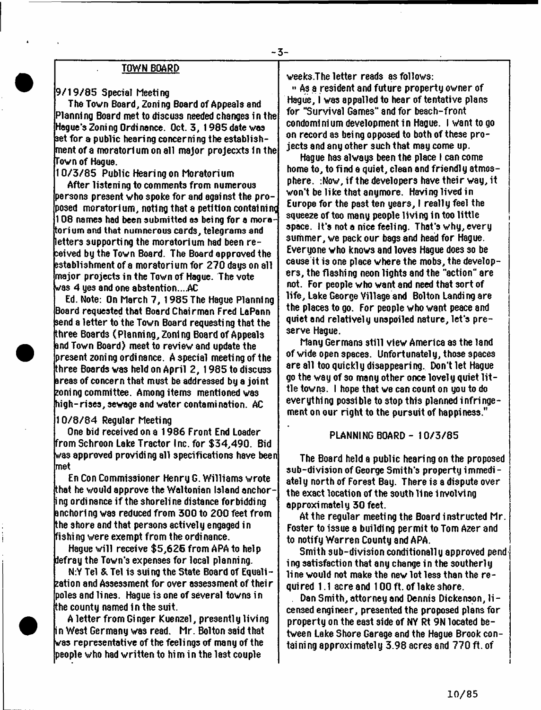### TOWN BOARD

# 9 / 1 9 / 8 5 Special Meeting

The Town Board, Zoning Board of Appeals and Planning Board met to di3cuss needed changes in the Hague's Zoning Ordinance. Oct. 3 , 1985 date was set for a public hearing concerning the establishment of a moratorium on all m ajor projecxts in the Town of Hague.

10 /3 / 8 5 Public Hearing on Moratorium

After listening to comments from numerous persons present who spoke for and against the proposed moratorium, noting that a petition containing 108 names had been submitted as being for a moratorium and that numnerous cards, telegrams and letters supporting the moratorium had been rereived by the Town Board. The Board approved the establishment of a moratorium for 270 days on all major projects in the Town of Hague. The vote was 4 yes and one abstention....AC

Ed. Note: On March 7 , 1985 The Hague Planning Board requested that Board Chairman Fred LaPann send a letter to the Town Board requesting that the three Boards (Planning, Zoning Board of Appeals and Town Board) meet to review and update the present zoning ordinance. A special meeting of the three Boards was held on April 2, 1985 to discuss areas of concern that must be addressed by a joint koning committee. Among items mentioned was high-rises, sewage and water contamination.  $\operatorname{AC}$ 

1 0 /8 /8 4 Regular Meeting

One bid received on a 1986 Front End Loader from Schroon Lake Tractor Inc. for \$ 3 4 ,4 9 0 . Bid was approved providing all specifications have been met

En Con Commissioner Henry G. W illiams wrote that he would approve the Waltonian Island anchor- $\mathbin{\dag}$  ng ordi nance if the shoreline distance forbidding anchoring was reduced from 300 to 200 feet from the shore and that persons actively engaged in fishing were exempt from the ordinance.

Hague will receive  $$5,625$  from APA to help defray the Town's expenses for local planning.

N:Y Tel & Tel is suing the State Board of Equali- $\,$  <code>zation</code> and Assessment for over assessment of their poles and lines. Hague is one of several towns in the county named In the suit.

A letter from Ginger Kuenzel, presently living i n West Germany was read. Mr. Bolton said that was representative of the feelings of many of the people who had w ritten to him in the last couple

weeks.The letter reads as follows:

3-

" As a resident and future property owner of Hague, I was appalled to hear of tentative plans for "Survival Games" and for beach-front condominium development in Hague. I want to go on record as being opposed to both of these projects and any other such that may come up.

Hague has always been the place I can come home to, to find a quiet, clean and friendly atmosphere.  $:$  Now, if the developers have their way, it won't be like that anymore. Having lived in Europe for the past ten years, I really feel the squeeze of too many people living in too little space. It's not a nice feeling. That's why, every summer, we pack our bags and head for Hague. Everyone who knows and loves Hague does so be cause it is one place where the mobs, the develope rs , the flashing neon lights and the "action" are not. For people who want and need that sort of life, Lake George Village and Bolton Landing are the places to go. For people who want peace and quiet and relatively unspoiled nature, let's preserve Hague.

Many Germans still view America as the land of wide open spaces. Unfortunatel y, those spaces are all too quickly disappearing. Don't let Hague go the way of so many other once lovely quiet little towns. I hope that we can count on you to do everything possible to stop this planned infringement on our right to the pursuit of happiness."

# PLANNING BOARD - 10/3/85

The Board held a public hearing on the proposed sub-division of George Smith's property immedi $\hbox{-}$ ately north of Forest Bay. There is a dispute over the exact location of the south 11 ne 1 nvolvt ng approximately 30 feet.

At the regular meeting the Board instructed Mr. Foster to issue a building permit to Tom Azer and to notify W arren County and APA.

Smith sub-division conditionally approved pend ing satisfaction that any change in the southerly line would not make the new lot less than the  $re$ quired 1.1 acre and 100 ft. of lake shore.

Dan Smith, attorney and Dennis Dickenson, 1icensed engineer, presented the proposed plans for property on the east side of NY Rt 9N located between Lake Shore Garage and the Hague Brook containing approximately 3.98 acres and 770 ft. of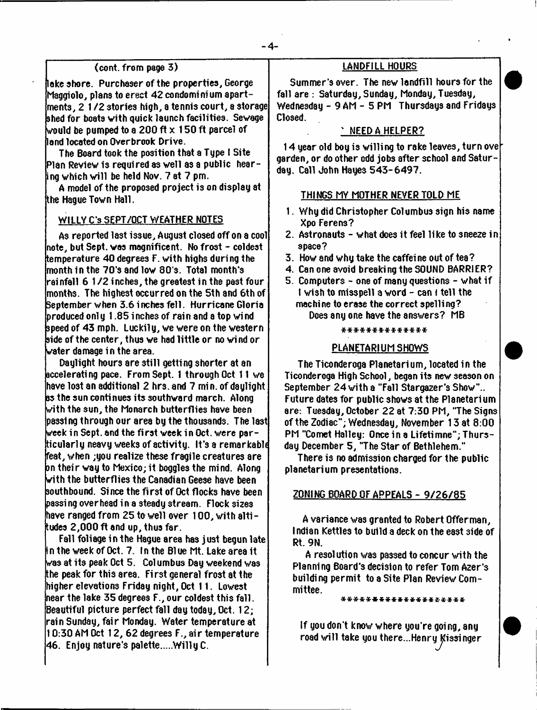# (cont. from page 3)

lake shore. Purchaser of the properties, George Maggiolo, plans to erect 42 condominium apart $m$ ents, 2 1/2 stories high, a tennis court, a storage shed for boats with quick launch facilities. Sewage would be pumped to a 200 ft  $\times$  150 ft parcel of land located on Overbrook Drive.

The Board took the position that a Type I Site Plan Review is required as well as a public hearing which will be held Nov. 7 at 7 pm.

A model of the proposed project is on display at the Hague Town Hall.

# WILLY C's SEPT/OCT WEATHER NOTES

As reported last issue, August closed off on a cool note, but Sept. was magnificent. No frost - coldest tem perature 40 degrees F. with highs during the month in the 7 0 's and low 80 s. Total month's rainfall 6 1 /2 inches, the greatest in the past four months. The highest occurred on the 5th and 6th of September when 3.6 i nches fe ll. Hurricane Gloria  $\bm{b}$ roduced onl y  $1.85$  inches of rain and a top wind speed of 43 mph. Luckily, we were on the western side of the center, thus we had little or no wind or water damage in the area.

Daylight hours are still getting shorter at an accelerating pace. From Sept. 1 through Oct 11 we have lost an additional 2 hrs. and 7 rnin. of daylight as the sun continues its southward march. Along with the sun, the Monarch butterflies have been passing through our area by the thousands. The last week in Sept. and the first week in Oct. were particularly neavy weeks of activity. It's a remarkabl( feat, when ;you realize these fragile creatures are on their way to Mexico; it boggles the mind. Along with the butterflies the Canadian Geese have been southbound. Since the first of Oct flocks have been passing overhead in a steady stream . Flock sizes have ranged from 25 to well over 100, with altitudes 2 ,000 ft and up, thus far.

Fall foliage in the Hague area has just begun late in the week of Oct. 7. In the Blue Mt. Lake area it was at its peak Oct 5. Col umbus Day weekend was the peak for this area. Fi rst general frost at the higher elevations Friday night, Oct 11. Lowest near the lake 35 degrees F., our coldest this fall. Beautiful picture perfect fall day today, Oct. 12; rain Sunday, fair Monday. Water tem perature at 10:30 AM Oct 12, 62 degrees F., ai r tem perature 46. Enjoy nature's palette.....Willy C.

# LANDFILL HOURS

Summer's over. The new landfill hours for the fall are : Saturday, Sunday, Monday, Tuesday, Wednesday - 9 AM - 5 PM Thursdays and Fridays Closed.

# % NEED A HELPER?

14 year old boy is willing to rake leaves, turn over garden, or do other odd jobs after school and Saturday, Call John Hayes 543-6497.

# THINGS MY MOTHER NEVER TOLD ME

- 1. Why did Christopher Columbus sign his name Xpo Ferens?
- 2. Astronauts what does it feel like to sneeze in space?
- 3. How and why take the caffeine out of tea?
- 4. Can one avoid breaking the SOUND BARRIER?
- 5. Computers one of many questions what if I wish to misspell a word - can I tell the machine to erase the correct spelling? Does any one have the answers? MB

#### *\* \* \* \* \* \* \* \* \* \* \* \* \* \**

# PLANETARIUM SHOWS

The Ticonderoga Planetarium, located in the Ticonderoga High School, began its new season on September 24 with a "Fall Stargazer's Show".. Future dates for public shows at the Planetarium are: Tuesday, October 22 at 7:30 PM, "The Signs of the Zodiac"; Wednesday, November 13 at 8:00 PM "Comet Halley: Once in a Lifetimne"; Thursday December 5, "The Star of Bethlehem."

There is no admission charged for the public planetarium presentations.

#### ZONING BOARD OF APPEALS - 9 / 2 6 / 8 5

A variance was granted to Robert Offer man, Indian Kettles to build a deck on the east 3ide of Rt. 9N.

A resolution was passed to concur with the Planning Board's decision to refer Tom Azer's building perm it to a Site Plan Review Committee.

\*\*\*\*\*\*\*\*\*\*\*\*\*\*\*\*\*\*

If you don't know where you're going, any road will take you there...Henry Kissinger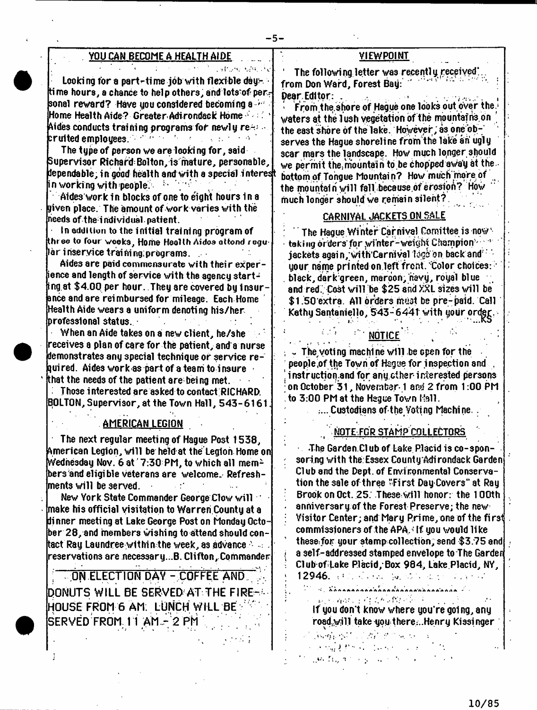分野 外 大学 のうど

| <u>YOU CAN BECOME A HEALTH AIDE.</u> |  |  |  |
|--------------------------------------|--|--|--|
|                                      |  |  |  |
|                                      |  |  |  |

Looking for a part-time job with flexible day:  $\blacksquare$ time hours, a chance to help others, and lots of personal rew ard? Have you considered becoming a ' Home Health Aide? G reater Adi rondack Home : ' Aides conducts training programs for newly re $\oplus$  . cruited employees.  $\mathbb{R}^{d\times d\times d}$  , we also also that

The type of person we are looki ng for, said Supervisor RichaftiBolton, is mature, personable, dependable, in good health and with a special interesft in working with people $\mathbb{S}^{+}$  is

Aides work in blocks of one to eight hours in a given place. The amount of work varies with the  $\,$ heeds of the individual.patient.

In aduiiiun to the initial training program of three to four weeks, Home Health Aidos attond regu lar iriseryice training; programs.

Aides are paid commensurate with their experience and length of service with the agency starting at  $\$4.00$  per hour. They are covered by insurance and are reimbursed for mileage. Each Home Health Aide wears a uniform denoting his/her professional status.

When an Aide takes on a new client, he/she receives a plan of care for the patient, and a nurse demonstrates any special technique or service required. Aides work as part of a team to insure that the needs of the patient are being met.

 $\blacksquare$  Those interested are asked to contact RICHARD. BOLTON, Supervisor, at the Town Hall, 543-6161

# AMERICAN LEGION

The next regular meeting of Hague Post 1538. American Legion, will be held at the'Legion Home on Wednesday Nov. 6 at  $7:30$  PM, to which all members and eligible veterans are welcome. Refreshments will be served.  $\mathcal{L}(\mathcal{C})$ 

New York State Commander George Clow will ' make his official visitation to Warren County at a di nner meeti ng at Lake George Post on Monday October 28, and members wishing to attend should conitact Ray Laundree within the week, as advance  $\cdot$  :  $\cdot$ reservations are necessary...B. Clifton,.Commander

**; .ON ELECTION DAY - COFFEE AND ^ DONUTS WILL BE SERVED AT THE FIRE-' HOUSE FROM 6 AM: LUNCH WILL BE SERVED FROM 11 AM - 2 PM** 

# VIEWPOINT

The following letter was recently received; from Don Ward, Forest Bay: DearEditor: .. . ■\* . , . ,

 $\blacksquare$  From the shore of Hague one looks out over the. waters at the 1 ush vegetation of the mountains on  $\,$ the east shore of the lake. However; as one observes the Hague shoreline from the lake an ugly scar mars the landscape. How much longer should we permit the mountain to be chopped away at the bottom of Tongue Mountain? How much'more of the mountain will fall because of erosion? How much longer should we remain silent?

# CARNIVAL JACKETS ON SALE

The Hague Winter Carnival Comittee is now taking orders for winter-weight Champion '' jackets again, with Carnival lage on back and  $\sim$ your name printed on left front. Color choices: . black, dark green, maroon, navy, royal blue and red. Cost will be  $$25$  and XXL sizes will be \$1.50 extra. All orders must be pre-paid. Call Kathy Santaniello, 543-6441 with your order.

# NOTICE

 $\sim$  The voting machine will be open for the people.of the Town of Hague for inspection and , instruction and for any other-interested persons ; on October 3 1 , November\* 1 and 2 from 1:00 PM to 3:00 PM at the Hague Town Mall.

:... Custodians of the Voting Machine. .

# NOTE FOR STAMP COLLECTORS

 $\sim$  The Garden Club of Lake Placid is co-sponsoring with the Essex County Adirondack Garden Cl ub and the Dept. of Envi ronmental Conservation the sale of three "First DayCovers" at Ray ; Brook on Oct. 25. These will honor: the 100th anniversary of the Forest Preserve; the new : Visitor Center; and Mary Rrime, one of the first commissioners of the APA, $\pm$  If you would like these for your stamp collection, send \$3.75 and *!* a self-addressed stamped envelope to The Garden Club of Lake Placid, Box 984, Lake Placid, NY, 12946. : Contract to the state of the state

 $U = \epsilon$ , Xonnannannannannannannannan i 1 网络海绵 经经营保险费经济

If you don't know where you're going, any road $w$  jll take you there...Henry Kissinger

**County of the Control of County County** 医牙根囊肿 经过效的 医第二 العادات فالمستنادي ماكنه وبالأنبطان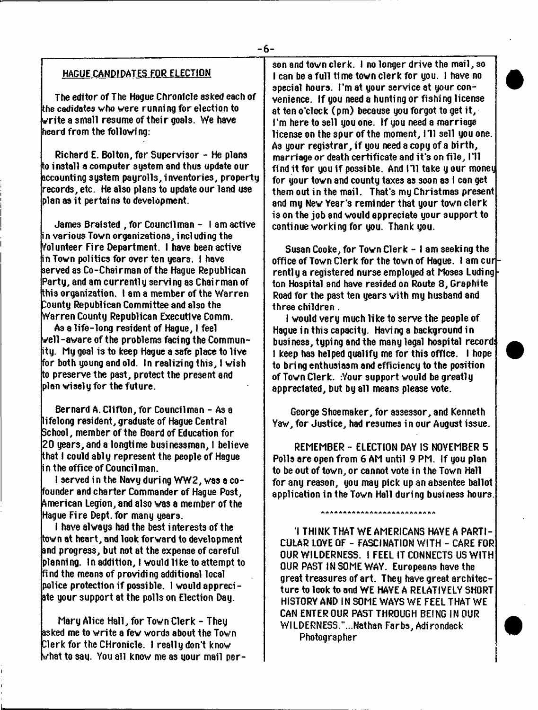# HAGUE CANDIDATES FOR ELECTION

The editor of The Hague Chronicle asked each of  ${\rm th}$ e cadidates who were running for election to  $\bf k$ rite a small resume of their goals. We have heard from the following:

Richard E. Bolton, for Supervisor  $-$  He plans  $\,$  to install a computer sustem and thus update our accounting system payrolls,inventories, property records, etc. He also plans to update our land use plan as it pertains to development.

James Braisted , for Councilman - I am active in various Town organizations, including the Volunteer Fire Department. I have been active in Town politics for over ten years. I have served as Co-Chairman of the Hague Republican Party, and am currently serving as Chairman of this organization. I am a member of the Warren bounty Republican Committee and also the W arren County Republican Executive Comm.

As a life-long resident of Hague, I feel Well-aware of the problems facing the Community. My goal is to keep Hague a safe place to live for both young and old. In realizing this, I wish to preserve the past, protect the present and plan wisely for the future.

Bernard A. Clifton, for Councilman - A3 a lifelong resident, graduate of Hague Central School, member of the Board of Education for 20 years, and a longtime businessman, I believe that I could ably represent the people of Hague in the office of Councilman.

I served in the Navy during WW2, was a cofounder and ch arter Commander of Hague Post, American Legion, and also was a member of the Hague Fire Dept, for many years.

I have always had the best interests of the town at heart, and look forward to development and progress, but not at the expense of careful planning. In addition, I would like to attempt to fi nd the means of providi ng additional local police protection if possible. I would appreciate your support at the polls on Election Day.

Mary Alice Hall, for Town Clerk - They asked me to write a few words about the Town Clerk for the CHronicle. I really don't know what to say. You all know me as your mail per-

son and town clerk. I no longer drive the mail, so I can be a full time town clerk for you. I have no special hours. I'm at your service at your convenience. If you need a hunting or fishing license at ten o'clock  $(pm)$  because you forgot to get it, I'm here to sell you one. If you need a marriage license on the spur of the moment, 171 sell you one. As your registrar, if you need a copy of a birth, marriage or death certificate and it's on file,  $1$ 'll find it for you if possible. And 111 take y our money for your town and county taxes as soon as I can get them out in the mail. That's my Christmas present and my New Year's reminder that your town clerk is on the job and would appreciate your support to continue working for you. Thank you.

Susan Cooke, for Town Clerk - I am seeki ng the office of Town Clerk for the town of Hague. I am cur rently a registered nurse employed at Moses Luding ton Hospital and have resided on Route 8, Graphite Road for the past ten years with my husband and three children .

I would very much like to serve the people of Hague in this capacity. Having a background in business, typing and the many legal hospital record: I keep has helped qualify me for this office. I hope to bring enthusiasm and efficiency to the position of Town Clerk. :Your support would be greatly appreciated, but by all means please vote.

George Shoemaker, for assessor, and Kenneth Yaw, for Justice, had resumes in our August issue.

REMEMBER - ELECTION DAY IS NOVEMBER 5 Polls are open from 6 AM until 9 PM. If you plan to be out of town, or cannot vote in the Town Hall for any reason, you may pick up an absentee ballot application in the Town Hall during business hours.

,,,,,,,,,,,,,,,,,,,,,,,,,,,,

1 THINK THAT WE AMERICANS HAVE A PARTI-CULAR LOVE OF - FASCINATION WITH - CARE FOR OUR WILDERNESS. I FEEL IT CONNECTS US WITH OUR PAST IN SOME WAY. Europeans have the great treasures of art. They have great architecture to look to and WE HAYE A RELATIVELY SHORT HISTORY AND IN SOME WAYS WE FEEL THAT WE CAN ENTER OUR PAST THROUGH BEING INOUR WILDERNESS."...Nathan Farbs, Adirondack Photographer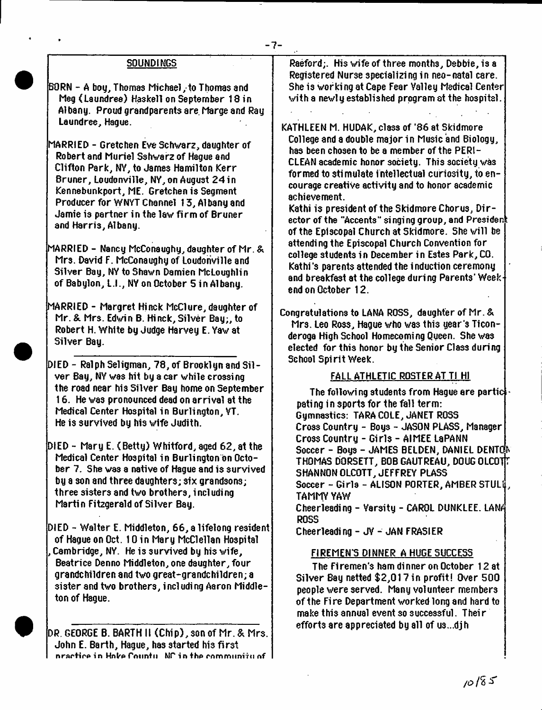# SOUNDINGS

BORN - A bog, Thomas Michael, to Thomas and Meg (Laundree) Haskell on September 18 in Albany. Proud grandparents are Marge and Ray Laundree, Hague.

MARRIED - Gretchen Eve Schwarz, daughter of Robert and Muriel Sshwarz of Hague and Clifton Park, NY, to James Hamilton Kerr Bruner, Loudonville, NY, on August 24 in Kennebunkport, ME. Gretchen is Segment Producer for WNYT Channel 13, Albany and Jamie is partner in the law firm of Bruner and Harris, Albany.

MARRIED - Nancy McConaughy, daughter of Mr. & Mrs. David F. McConaughy of Loudonville and Silver Bay, NY to Shawn Damien McLoughlin of Babylon, L.I., NY on October 5 in Albany.

MARRIED - Margret Hi nek McClure, daughter of Mr. & Mrs. Edwin B. Hi nek, Silver Bay;, to Robert H. White by Judge Harvey E. Yaw at Silver Bay.

DIED - Ra1ph Seligman, 78, of Brooklyn and Silver Bay, NY was hit by a car while crossing the road near his Silver Bay home on September 16. He was pronounced dead on arrival at the Medical Center Hospital in Burlington, YT. He is survived by his wife Judith.

DIED - Mary E. (Betty) Whitford, aged 62, at the Medical Center Hospital in Burlington on October 7. She was a native of Hague and is survived by a son and three daughters; six grandsons; three sisters and two brothers, including Martin Fitzgerald of Silver Bay.

DIED - W alter E. Middleton, 6 6 , a lifelong resident of Hague on Oct. 10 in Mary McClellan Hospital , Cambridge, NY. He is survived by his wife, Beatrice Denno Middleton, one daughter, four grandchildren and two great-grandchildren; a sister and two brothers, including Aaron Middleton of Hague.

DR. GEORGE B. BARTH 11 (Chi p ) , son of Mr. & Mrs. John E. Barth, Hague, has started his first nractice in Hoke Countul WP in the community of  $\parallel$ 

Raeford;. His wife of three months, Debbie, is a Registered Nurse specializing in neo-natal care. She is working at Cape Fear Valley Medical Center with a newly established program at the hospital.

KATHLEEN M. HUDAK, class of '86 at Skidmore College and a double major in Music and Biology, has been chosen to be a member of the PERI-CLEAN academic honor society. This society was formed to stimulate intellectual curiosity, to encourage creative activity and to honor academic achievement.

Kathi is president of the Skidmore Chorus, Director of the "Accents" singing group, and President of the Episcopal Church at Skidmore. She will be attending the Episcopal Church Convention for college students in December in Estes Park, CO. Kathi's parents attended the induction ceremony and breakfast at the college during Parents' Weekend on October 12.

Congratulations to LANA ROSS, daughter of Mr. & Mrs. Leo Ross, Haque who was this year's Ticonderoga High School Homecoming Queen. She was elected for this honor by the Senior Class during School Spirit Week.

# FALL ATHLETIC ROSTER AT TI HI

The following students from Hague are partic pating in sports for the fall term: Gymnastics: TARA COLE, JANET ROSS Cross Country - Boys - JASON PLASS, Manager Cross Country - Girls - AIMEE LaPANN Soccer - Boys - JAMES BELDEN, DANIEL DENTON THOMAS DORSETT, BOB GAUTREAU, DOUG OLCOTfr SHANNON OLCOTT, JEFFREY PLASS Soccer - Girls - ALISON PORTER, AMBER STULI. TAMMY YAW Cheerleading - Varsity - CAROL DUNKLEE. LAN^j ROSS Cheerleading - JV - JAN FRASIER

# FIREMEN'S DINNER A HUGE SUCCESS

The Firemen's ham dinner on October 12 at Silver Bay netted \$2,017 in profit! Over 500 people were served. Many volunteer members of the Fire Department worked long and hard to make this annual event so successful. Their efforts are appreciated by all of **U3...djh**